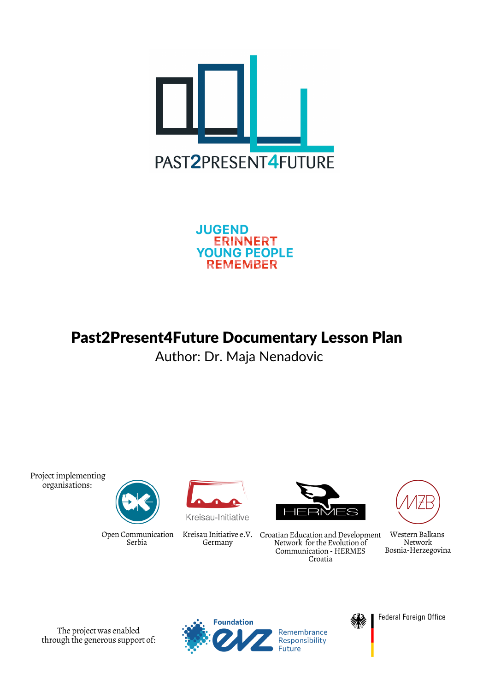

**JUGEND ERINNERT YOUNG PEOPLE REMEMBER** 

# Past2Present4Future Documentary Lesson Plan

Author: Dr. Maja Nenadovic

Project implementing organisations:



Open Communication Serbia



Kreisau-Initiative

Kreisau Initiative e.V. Germany



Croatian Education and Development Network for the Evolution of Communication - HERMES Croatia



Western Balkans Network Bosnia-Herzegovina

The project was enabled through the generous support of:



Remembrance Responsibility uture

M.S

Federal Foreign Office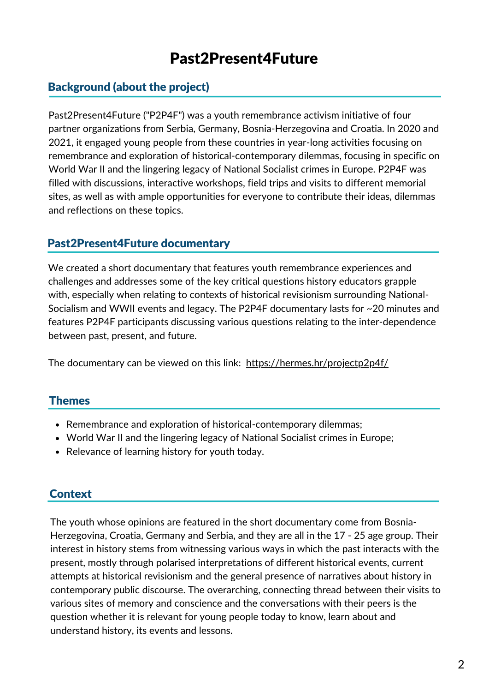## Past2Present4Future

## Background (about the project)

Past2Present4Future ("P2P4F") was a youth remembrance activism initiative of four partner organizations from Serbia, Germany, Bosnia-Herzegovina and Croatia. In 2020 and 2021, it engaged young people from these countries in year-long activities focusing on remembrance and exploration of historical-contemporary dilemmas, focusing in specific on World War II and the lingering legacy of National Socialist crimes in Europe. P2P4F was filled with discussions, interactive workshops, field trips and visits to different memorial sites, as well as with ample opportunities for everyone to contribute their ideas, dilemmas and reflections on these topics.

#### Past2Present4Future documentary

We created a short documentary that features youth remembrance experiences and challenges and addresses some of the key critical questions history educators grapple with, especially when relating to contexts of historical revisionism surrounding National-Socialism and WWII events and legacy. The P2P4F documentary lasts for ~20 minutes and features P2P4F participants discussing various questions relating to the inter-dependence between past, present, and future.

The documentary can be viewed on this link: <https://hermes.hr/projectp2p4f/>

#### Themes

- Remembrance and exploration of historical-contemporary dilemmas;
- World War II and the lingering legacy of National Socialist crimes in Europe;
- Relevance of learning history for youth today.

## Context

The youth whose opinions are featured in the short documentary come from Bosnia-Herzegovina, Croatia, Germany and Serbia, and they are all in the 17 - 25 age group. Their interest in history stems from witnessing various ways in which the past interacts with the present, mostly through polarised interpretations of different historical events, current attempts at historical revisionism and the general presence of narratives about history in contemporary public discourse. The overarching, connecting thread between their visits to various sites of memory and conscience and the conversations with their peers is the question whether it is relevant for young people today to know, learn about and understand history, its events and lessons.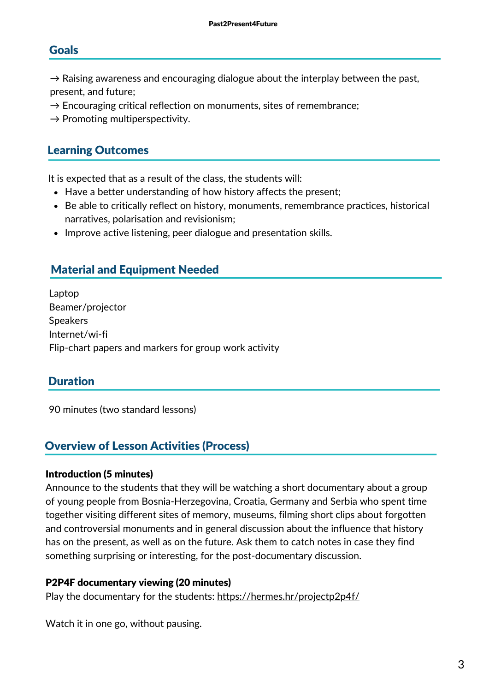#### Goals

 $\rightarrow$  Raising awareness and encouraging dialogue about the interplay between the past, present, and future;

- $\rightarrow$  Encouraging critical reflection on monuments, sites of remembrance;
- $\rightarrow$  Promoting multiperspectivity.

#### Learning Outcomes

It is expected that as a result of the class, the students will:

- Have a better understanding of how history affects the present;
- Be able to critically reflect on history, monuments, remembrance practices, historical narratives, polarisation and revisionism;
- Improve active listening, peer dialogue and presentation skills.

## Material and Equipment Needed

Laptop Beamer/projector **Speakers** Internet/wi-fi Flip-chart papers and markers for group work activity

#### Duration

90 minutes (two standard lessons)

### Overview of Lesson Activities (Process)

#### Introduction (5 minutes)

Announce to the students that they will be watching a short documentary about a group of young people from Bosnia-Herzegovina, Croatia, Germany and Serbia who spent time together visiting different sites of memory, museums, filming short clips about forgotten and controversial monuments and in general discussion about the influence that history has on the present, as well as on the future. Ask them to catch notes in case they find something surprising or interesting, for the post-documentary discussion.

#### P2P4F documentary viewing (20 minutes)

Play the documentary for the students: <https://hermes.hr/projectp2p4f/>

Watch it in one go, without pausing.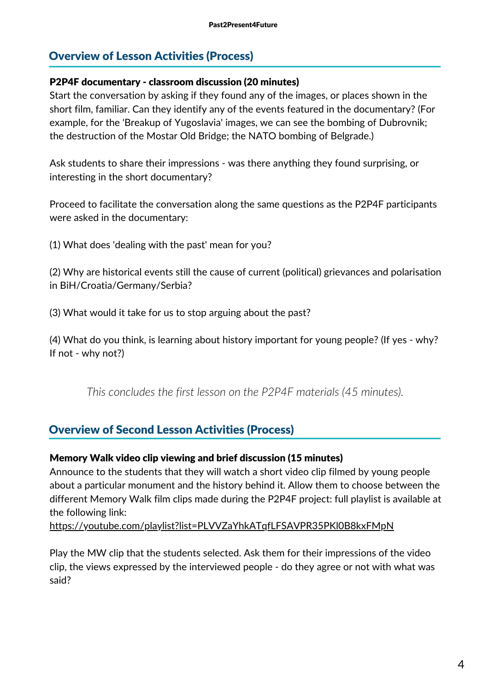## Overview of Lesson Activities (Process)

#### P2P4F documentary - classroom discussion (20 minutes)

Start the conversation by asking if they found any of the images, or places shown in the short film, familiar. Can they identify any of the events featured in the documentary? (For example, for the 'Breakup of Yugoslavia' images, we can see the bombing of Dubrovnik; the destruction of the Mostar Old Bridge; the NATO bombing of Belgrade.)

Ask students to share their impressions - was there anything they found surprising, or interesting in the short documentary?

Proceed to facilitate the conversation along the same questions as the P2P4F participants were asked in the documentary:

(1) What does 'dealing with the past' mean for you?

(2) Why are historical events still the cause of current (political) grievances and polarisation in BiH/Croatia/Germany/Serbia?

(3) What would it take for us to stop arguing about the past?

(4) What do you think, is learning about history important for young people? (If yes - why? If not - why not?)

*This concludes the first lesson on the P2P4F materials (45 minutes).*

## Overview of Second Lesson Activities (Process)

#### Memory Walk video clip viewing and brief discussion (15 minutes)

different Memory Walk film clips made during the P2P4F project: full playlist is available at Announce to the students that they will watch a short video clip filmed by young people about a particular monument and the history behind it. Allow them to choose between the the following link:

<https://youtube.com/playlist?list=PLVVZaYhkATqfLFSAVPR35PKl0B8kxFMpN>

Play the MW clip that the students selected. Ask them for their impressions of the video clip, the views expressed by the interviewed people - do they agree or not with what was said?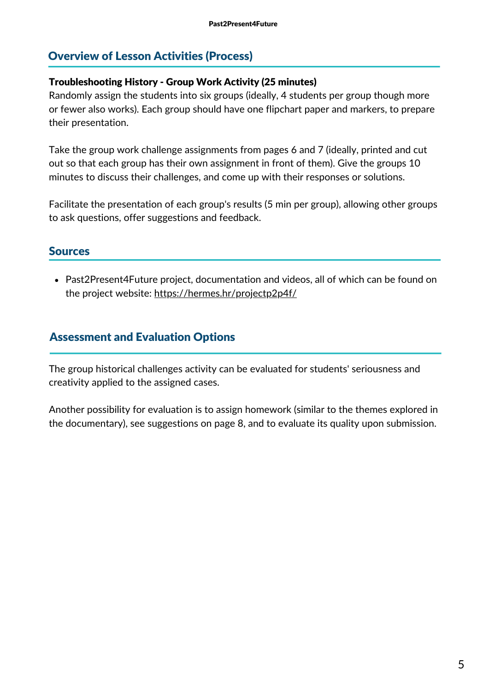## Overview of Lesson Activities (Process)

#### Troubleshooting History - Group Work Activity (25 minutes)

Randomly assign the students into six groups (ideally, 4 students per group though more or fewer also works). Each group should have one flipchart paper and markers, to prepare their presentation.

Take the group work challenge assignments from pages 6 and 7 (ideally, printed and cut out so that each group has their own assignment in front of them). Give the groups 10 minutes to discuss their challenges, and come up with their responses or solutions.

Facilitate the presentation of each group's results (5 min per group), allowing other groups to ask questions, offer suggestions and feedback.

#### Sources

Past2Present4Future project, documentation and videos, all of which can be found on the project website: <https://hermes.hr/projectp2p4f/>

## Assessment and Evaluation Options

The group historical challenges activity can be evaluated for students' seriousness and creativity applied to the assigned cases.

Another possibility for evaluation is to assign homework (similar to the themes explored in the documentary), see suggestions on page 8, and to evaluate its quality upon submission.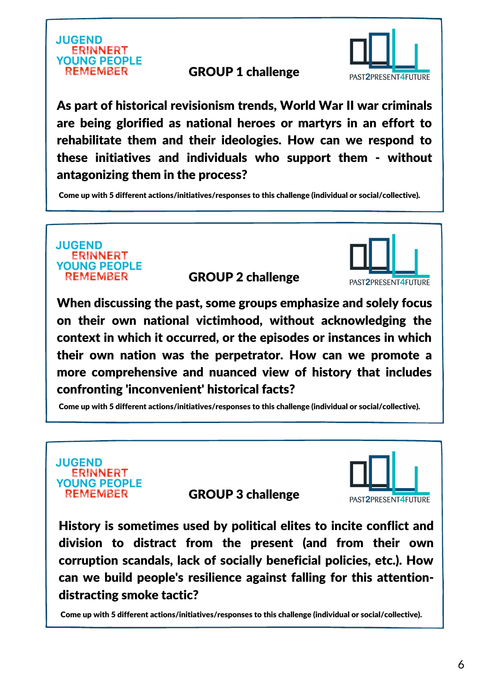

## GROUP 1 challenge



As part of historical revisionism trends, World War II war criminals are being glorified as national heroes or martyrs in an effort to rehabilitate them and their ideologies. How can we respond to these initiatives and individuals who support them - without antagonizing them in the process?

Come up with 5 different actions/initiatives/responses to this challenge (individual or social/collective).



GROUP 2 challenge

When discussing the past, some groups emphasize and solely focus on their own national victimhood, without acknowledging the context in which it occurred, or the episodes or instances in which their own nation was the perpetrator. How can we promote a more comprehensive and nuanced view of history that includes confronting 'inconvenient' historical facts?

Come up with 5 different actions/initiatives/responses to this challenge (individual or social/collective).



GROUP 3 challenge



PAST2PRESENT4FUTURE

History is sometimes used by political elites to incite conflict and division to distract from the present (and from their own corruption scandals, lack of socially beneficial policies, etc.). How can we build people's resilience against falling for this attentiondistracting smoke tactic?

Come up with 5 different actions/initiatives/responses to this challenge (individual or social/collective).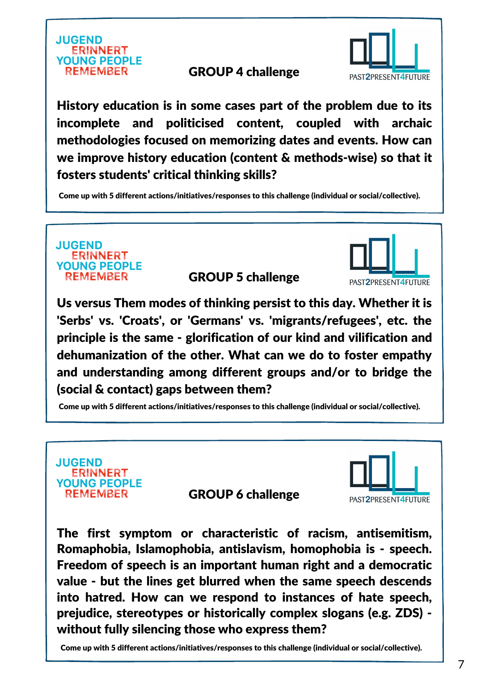

## GROUP 4 challenge



History education is in some cases part of the problem due to its incomplete and politicised content, coupled with archaic methodologies focused on memorizing dates and events. How can we improve history education (content & methods-wise) so that it fosters students' critical thinking skills?

Come up with 5 different actions/initiatives/responses to this challenge (individual or social/collective).

**JUGEND ERINNERT YOUNG PEOPLE REMEMBER** 

GROUP 5 challenge

PAST2PRESENT4FUTURE

Us versus Them modes of thinking persist to this day. Whether it is 'Serbs' vs. 'Croats', or 'Germans' vs. 'migrants/refugees', etc. the principle is the same - glorification of our kind and vilification and dehumanization of the other. What can we do to foster empathy and understanding among different groups and/or to bridge the (social & contact) gaps between them?

Come up with 5 different actions/initiatives/responses to this challenge (individual or social/collective).



GROUP 6 challenge



The first symptom or characteristic of racism, antisemitism, Romaphobia, Islamophobia, antislavism, homophobia is - speech. Freedom of speech is an important human right and a democratic value - but the lines get blurred when the same speech descends into hatred. How can we respond to instances of hate speech, prejudice, stereotypes or historically complex slogans (e.g. ZDS) without fully silencing those who express them?

Come up with 5 different actions/initiatives/responses to this challenge (individual or social/collective).